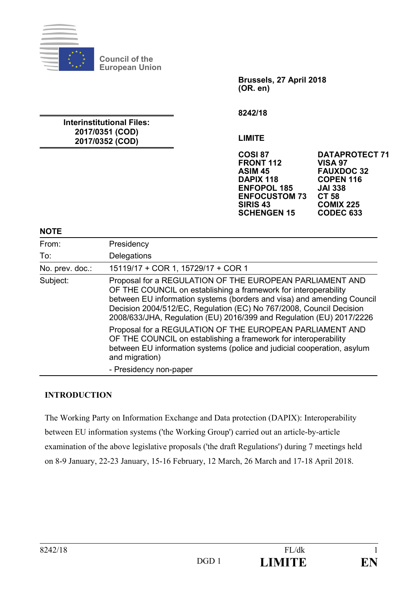

**Council of the European Union** 

**Interinstitutional Files: 2017/0351 (COD) 2017/0352 (COD)** 

**Brussels, 27 April 2018 (OR. en)** 

**8242/18** 

**LIMITE** 

**FRONT 112 VISA 97 ASIM 45 FAUXDOC 32 ENFOPOL 185 JAI 33**<br>**ENFOCUSTOM 73 CT 58 ENFOCUSTOM 73**<br>SIRIS 43 **SCHENGEN 15** 

**COSI 87 DATAPROTECT 71 DAPIX 118 COPEN 116 COMIX 225<br>CODEC 633** 

#### **NOTE**

| From:           | Presidency                                                                                                                                                                                                                                                                                                                                           |
|-----------------|------------------------------------------------------------------------------------------------------------------------------------------------------------------------------------------------------------------------------------------------------------------------------------------------------------------------------------------------------|
| To:             | Delegations                                                                                                                                                                                                                                                                                                                                          |
| No. prev. doc.: | 15119/17 + COR 1, 15729/17 + COR 1                                                                                                                                                                                                                                                                                                                   |
| Subject:        | Proposal for a REGULATION OF THE EUROPEAN PARLIAMENT AND<br>OF THE COUNCIL on establishing a framework for interoperability<br>between EU information systems (borders and visa) and amending Council<br>Decision 2004/512/EC, Regulation (EC) No 767/2008, Council Decision<br>2008/633/JHA, Regulation (EU) 2016/399 and Regulation (EU) 2017/2226 |
|                 | Proposal for a REGULATION OF THE EUROPEAN PARLIAMENT AND<br>OF THE COUNCIL on establishing a framework for interoperability<br>between EU information systems (police and judicial cooperation, asylum<br>and migration)                                                                                                                             |
|                 | - Presidency non-paper                                                                                                                                                                                                                                                                                                                               |

### **INTRODUCTION**

The Working Party on Information Exchange and Data protection (DAPIX): Interoperability between EU information systems ('the Working Group') carried out an article-by-article examination of the above legislative proposals ('the draft Regulations') during 7 meetings held on 8-9 January, 22-23 January, 15-16 February, 12 March, 26 March and 17-18 April 2018.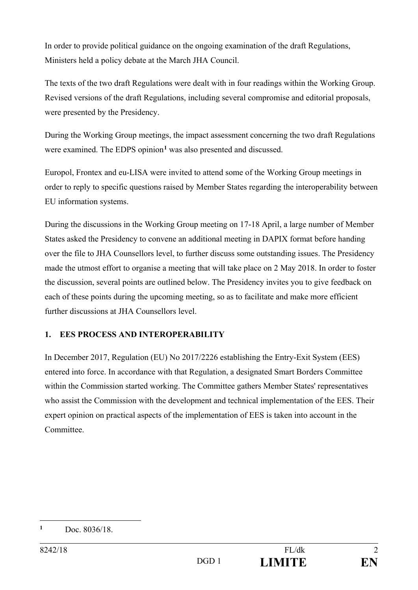In order to provide political guidance on the ongoing examination of the draft Regulations, Ministers held a policy debate at the March JHA Council.

The texts of the two draft Regulations were dealt with in four readings within the Working Group. Revised versions of the draft Regulations, including several compromise and editorial proposals, were presented by the Presidency.

During the Working Group meetings, the impact assessment concerning the two draft Regulations were examined. The EDPS opinion<sup>1</sup> was also presented and discussed.

Europol, Frontex and eu-LISA were invited to attend some of the Working Group meetings in order to reply to specific questions raised by Member States regarding the interoperability between EU information systems.

During the discussions in the Working Group meeting on 17-18 April, a large number of Member States asked the Presidency to convene an additional meeting in DAPIX format before handing over the file to JHA Counsellors level, to further discuss some outstanding issues. The Presidency made the utmost effort to organise a meeting that will take place on 2 May 2018. In order to foster the discussion, several points are outlined below. The Presidency invites you to give feedback on each of these points during the upcoming meeting, so as to facilitate and make more efficient further discussions at JHA Counsellors level.

## **1. EES PROCESS AND INTEROPERABILITY**

In December 2017, Regulation (EU) No 2017/2226 establishing the Entry-Exit System (EES) entered into force. In accordance with that Regulation, a designated Smart Borders Committee within the Commission started working. The Committee gathers Member States' representatives who assist the Commission with the development and technical implementation of the EES. Their expert opinion on practical aspects of the implementation of EES is taken into account in the Committee.

 $\overline{a}$ **1** Doc. 8036/18.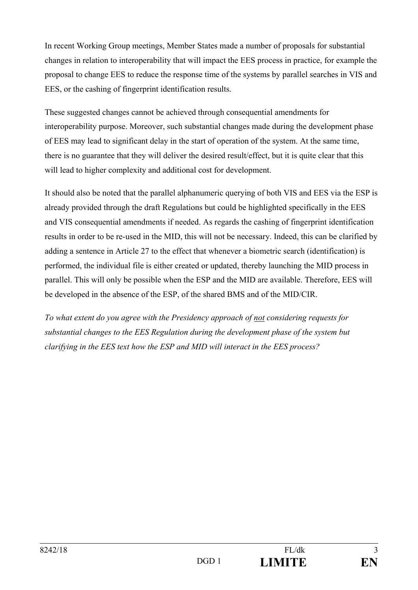In recent Working Group meetings, Member States made a number of proposals for substantial changes in relation to interoperability that will impact the EES process in practice, for example the proposal to change EES to reduce the response time of the systems by parallel searches in VIS and EES, or the cashing of fingerprint identification results.

These suggested changes cannot be achieved through consequential amendments for interoperability purpose. Moreover, such substantial changes made during the development phase of EES may lead to significant delay in the start of operation of the system. At the same time, there is no guarantee that they will deliver the desired result/effect, but it is quite clear that this will lead to higher complexity and additional cost for development.

It should also be noted that the parallel alphanumeric querying of both VIS and EES via the ESP is already provided through the draft Regulations but could be highlighted specifically in the EES and VIS consequential amendments if needed. As regards the cashing of fingerprint identification results in order to be re-used in the MID, this will not be necessary. Indeed, this can be clarified by adding a sentence in Article 27 to the effect that whenever a biometric search (identification) is performed, the individual file is either created or updated, thereby launching the MID process in parallel. This will only be possible when the ESP and the MID are available. Therefore, EES will be developed in the absence of the ESP, of the shared BMS and of the MID/CIR.

*To what extent do you agree with the Presidency approach of not considering requests for substantial changes to the EES Regulation during the development phase of the system but clarifying in the EES text how the ESP and MID will interact in the EES process?*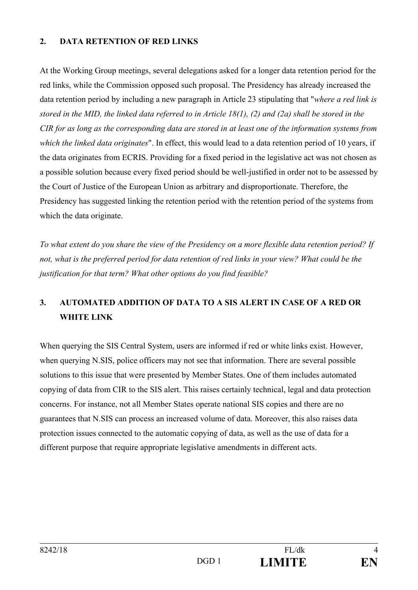### **2. DATA RETENTION OF RED LINKS**

At the Working Group meetings, several delegations asked for a longer data retention period for the red links, while the Commission opposed such proposal. The Presidency has already increased the data retention period by including a new paragraph in Article 23 stipulating that "*where a red link is stored in the MID, the linked data referred to in Article 18(1), (2) and (2a) shall be stored in the CIR for as long as the corresponding data are stored in at least one of the information systems from which the linked data originates*". In effect, this would lead to a data retention period of 10 years, if the data originates from ECRIS. Providing for a fixed period in the legislative act was not chosen as a possible solution because every fixed period should be well-justified in order not to be assessed by the Court of Justice of the European Union as arbitrary and disproportionate. Therefore, the Presidency has suggested linking the retention period with the retention period of the systems from which the data originate.

*To what extent do you share the view of the Presidency on a more flexible data retention period? If not, what is the preferred period for data retention of red links in your view? What could be the justification for that term? What other options do you find feasible?* 

## **3. AUTOMATED ADDITION OF DATA TO A SIS ALERT IN CASE OF A RED OR WHITE LINK**

When querying the SIS Central System, users are informed if red or white links exist. However, when querying N.SIS, police officers may not see that information. There are several possible solutions to this issue that were presented by Member States. One of them includes automated copying of data from CIR to the SIS alert. This raises certainly technical, legal and data protection concerns. For instance, not all Member States operate national SIS copies and there are no guarantees that N.SIS can process an increased volume of data. Moreover, this also raises data protection issues connected to the automatic copying of data, as well as the use of data for a different purpose that require appropriate legislative amendments in different acts.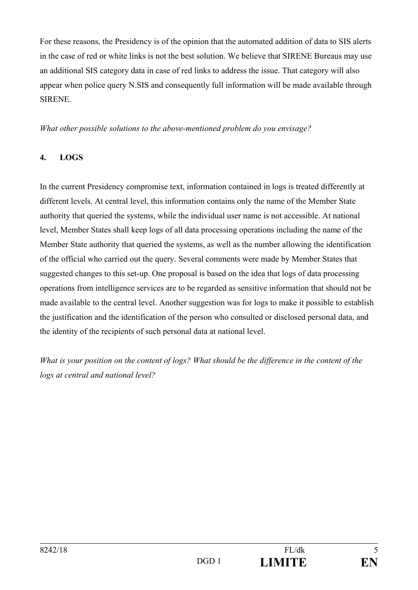For these reasons, the Presidency is of the opinion that the automated addition of data to SIS alerts in the case of red or white links is not the best solution. We believe that SIRENE Bureaus may use an additional SIS category data in case of red links to address the issue. That category will also appear when police query N.SIS and consequently full information will be made available through SIRENE.

*What other possible solutions to the above-mentioned problem do you envisage?* 

### **4. LOGS**

In the current Presidency compromise text, information contained in logs is treated differently at different levels. At central level, this information contains only the name of the Member State authority that queried the systems, while the individual user name is not accessible. At national level, Member States shall keep logs of all data processing operations including the name of the Member State authority that queried the systems, as well as the number allowing the identification of the official who carried out the query. Several comments were made by Member States that suggested changes to this set-up. One proposal is based on the idea that logs of data processing operations from intelligence services are to be regarded as sensitive information that should not be made available to the central level. Another suggestion was for logs to make it possible to establish the justification and the identification of the person who consulted or disclosed personal data, and the identity of the recipients of such personal data at national level.

*What is your position on the content of logs? What should be the difference in the content of the logs at central and national level?*